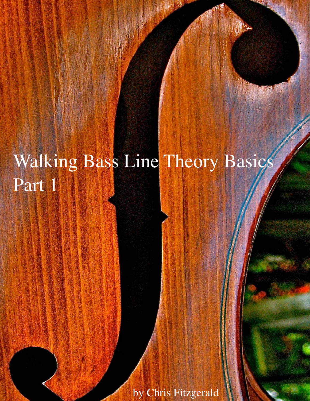## Walking Bass Line Theory Basics Part 1

by Chris Fitzgerald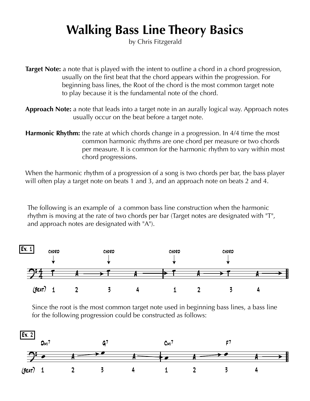## **Walking Bass Line Theory Basics**

by Chris Fitzgerald

**Target Note:** a note that is played with the intent to outline a chord in a chord progression, usually on the first beat that the chord appears within the progression. For beginning bass lines, the Root of the chord is the most common target note to play because it is the fundamental note of the chord.

**Approach Note:** a note that leads into a target note in an aurally logical way. Approach notes usually occur on the beat before a target note.

**Harmonic Rhythm:** the rate at which chords change in a progression. In 4/4 time the most common harmonic rhythms are one chord per measure or two chords per measure. It is common for the harmonic rhythm to vary within most chord progressions.

When the harmonic rhythm of a progression of a song is two chords per bar, the bass player will often play a target note on beats 1 and 3, and an approach note on beats 2 and 4.

The following is an example of a common bass line construction when the harmonic rhythm is moving at the rate of two chords per bar (Target notes are designated with "T", and approach notes are designated with "A").



Since the root is the most common target note used in beginning bass lines, a bass line for the following progression could be constructed as follows:

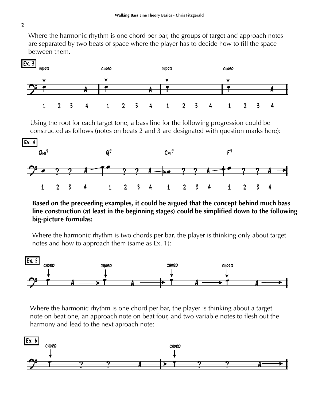Where the harmonic rhythm is one chord per bar, the groups of target and approach notes are separated by two beats of space where the player has to decide how to fill the space between them.



Using the root for each target tone, a bass line for the following progression could be constructed as follows (notes on beats 2 and 3 are designated with question marks here):



**Based on the preceeding examples, it could be argued that the concept behind much bass line construction (at least in the beginning stages) could be simplified down to the following big-picture formulas:**

Where the harmonic rhythm is two chords per bar, the player is thinking only about target notes and how to approach them (same as Ex. 1):



Where the harmonic rhythm is one chord per bar, the player is thinking about a target note on beat one, an approach note on beat four, and two variable notes to flesh out the harmony and lead to the next aproach note:



2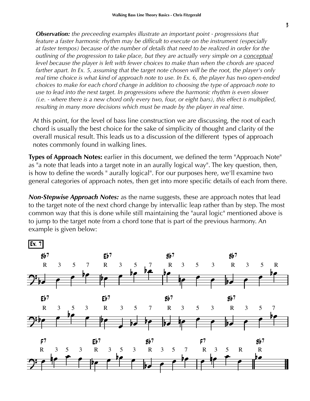*Observation: the preceeding examples illustrate an important point - progressions that feature a faster harmonic rhythm may be difficult to execute on the instrument (especially at faster tempos) because of the number of details that need to be realized in order for the outlining of the progression to take place, but they are actually very simple on a conceptual level because the player is left with fewer choices to make than when the chords are spaced farther apart. In Ex. 5, assuming that the target note chosen will be the root, the player's only real time choice is what kind of approach note to use. In Ex. 6, the player has two open-ended choices to make for each chord change in addition to choosing the type of approach note to use to lead into the next target. In progressions where the harmonic rhythm is even slower (i.e. - where there is a new chord only every two, four, or eight bars), this effect is multiplied, resulting in many more decisions which must be made by the player in real time.*

At this point, for the level of bass line construction we are discussing, the root of each chord is usually the best choice for the sake of simplicity of thought and clarity of the overall musical result. This leads us to a discussion of the different types of approach notes commonly found in walking lines.

**Types of Approach Notes:** earlier in this document, we defined the term "Approach Note" as "a note that leads into a target note in an aurally logical way". The key question, then, is how to define the words " aurally logical". For our purposes here, we'll examine two general categories of approach notes, then get into more specific details of each from there.

*Non-Stepwise Approach Notes:* as the name suggests, these are approach notes that lead to the target note of the next chord change by intervallic leap rather than by step. The most common way that this is done while still maintaining the "aural logic" mentioned above is to jump to the target note from a chord tone that is part of the previous harmony. An example is given below:

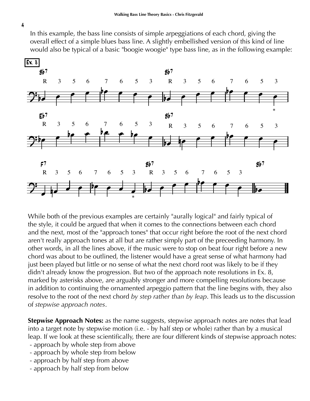In this example, the bass line consists of simple arpeggiations of each chord, giving the overall effect of a simple blues bass line. A slightly embellished version of this kind of line would also be typical of a basic "boogie woogie" type bass line, as in the following example:



While both of the previous examples are certainly "aurally logical" and fairly typical of the style, it could be argued that when it comes to the connections between each chord and the next, most of the "approach tones" that occur right before the root of the next chord aren't really approach tones at all but are rather simply part of the preceeding harmony. In other words, in all the lines above, if the music were to stop on beat four right before a new chord was about to be outlined, the listener would have a great sense of what harmony had just been played but little or no sense of what the next chord root was likely to be if they didn't already know the progression. But two of the approach note resolutions in Ex. 8, marked by asterisks above, are arguably stronger and more compelling resolutions because in addition to continuing the ornamented arpeggio pattern that the line begins with, they also resolve to the root of the next chord *by step rather than by leap*. This leads us to the discussion of *stepwise approach notes*.

**Stepwise Approach Notes:** as the name suggests, stepwise approach notes are notes that lead into a target note by stepwise motion (i.e. - by half step or whole) rather than by a musical leap. If we look at these scientifically, there are four different kinds of stepwise approach notes:

- approach by whole step from above
- approach by whole step from below
- approach by half step from above
- approach by half step from below

4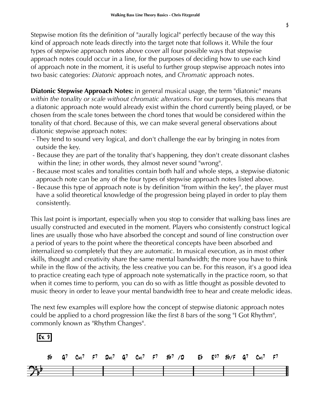Stepwise motion fits the definition of "aurally logical" perfectly because of the way this kind of approach note leads directly into the target note that follows it. While the four types of stepwise approach notes above cover all four possible ways that stepwise approach notes could occur in a line, for the purposes of deciding how to use each kind of approach note in the moment, it is useful to further group stepwise approach notes into two basic categories: *Diatonic* approach notes, and *Chromatic* approach notes.

**Diatonic Stepwise Approach Notes:** in general musical usage, the term "diatonic" means *within the tonality or scale without chromatic alterations*. For our purposes, this means that a diatonic approach note would already exist within the chord currently being played, or be chosen from the scale tones between the chord tones that would be considered within the tonality of that chord. Because of this, we can make several general observations about diatonic stepwise approach notes:

- They tend to sound very logical, and don't challenge the ear by bringing in notes from outside the key.
- Because they are part of the tonality that's happening, they don't create dissonant clashes within the line; in other words, they almost never sound "wrong".
- Because most scales and tonalities contain both half and whole steps, a stepwise diatonic approach note can be any of the four types of stepwise approach notes listed above.
- Because this type of approach note is by definition "from within the key", the player must have a solid theoretical knowledge of the progression being played in order to play them consistently.

This last point is important, especially when you stop to consider that walking bass lines are usually constructed and executed in the moment. Players who consistently construct logical lines are usually those who have absorbed the concept and sound of line construction over a period of years to the point where the theoretical concepts have been absorbed and internalized so completely that they are automatic. In musical execution, as in most other skills, thought and creativity share the same mental bandwidth; the more you have to think while in the flow of the activity, the less creative you can be. For this reason, it's a good idea to practice creating each type of approach note systematically in the practice room, so that when it comes time to perform, you can do so with as little thought as possible devoted to music theory in order to leave your mental bandwidth free to hear and create melodic ideas.

The next few examples will explore how the concept of stepwise diatonic approach notes could be applied to a chord progression like the first 8 bars of the song "I Got Rhythm", commonly known as "Rhythm Changes".

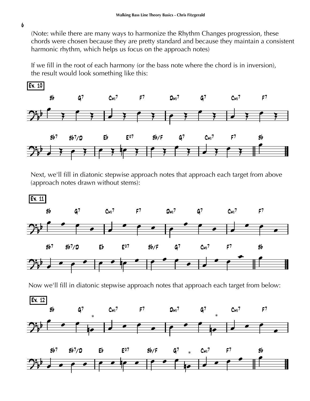(Note: while there are many ways to harmonize the Rhythm Changes progression, these chords were chosen because they are pretty standard and because they maintain a consistent harmonic rhythm, which helps us focus on the approach notes)

If we fill in the root of each harmony (or the bass note where the chord is in inversion), the result would look something like this:



Next, we'll fill in diatonic stepwise approach notes that approach each target from above (approach notes drawn without stems):



6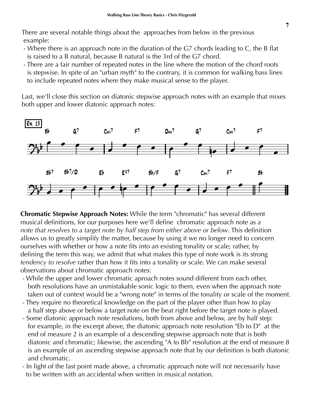There are several notable things about the approaches from below in the previous example:

- Where there is an approach note in the duration of the G7 chords leading to C, the B flat is raised to a B natural, because B natural is the 3rd of the G7 chord.
- There are a fair number of repeated notes in the line where the motion of the chord roots is stepwise. In spite of an "urban myth" to the contrary, it is common for walking bass lines to include repeated notes where they make musical sense to the player.

Last, we'll close this section on diatonic stepwise approach notes with an example that mixes both upper and lower diatonic approach notes:



**Chromatic Stepwise Approach Notes:** While the term "chromatic" has several different musical definitions, for our purposes here we'll define chromatic approach note as *a note that resolves to a target note by half step from either above or below*. This definition allows us to greatly simplify the matter, because by using it we no longer need to concern ourselves with whether or how a note fits into an existing tonality or scale; rather, by defining the term this way, we admit that what makes this type of note work is its strong *tendency to resolve* rather than how it fits into a tonality or scale. We can make several observations about chromatic approach notes:

- While the upper and lower chromatic aproach notes sound different from each other, both resolutions have an unmistakable sonic logic to them, even when the approach note taken out of context would be a "wrong note" in terms of the tonality or scale of the moment.
- They require no theoretical knowledge on the part of the player other than how to play a half step above or below a target note on the beat right before the target note is played.
- Some diatonic approach note resolutions, both from above and below, are by half step: for example, in the excerpt above, the diatonic approach note resolution "Eb to D" at the end of measure 2 is an example of a descending stepwise approach note that is both diatonic and chromatic; likewise, the ascending "A to Bb" resolution at the end of measure 8 is an example of an ascending stepwise approach note that by our definition is both diatonic and chromatic.
- In light of the last point made above, a chromatic approach note will not necessarily have to be written with an accidental when written in musical notation.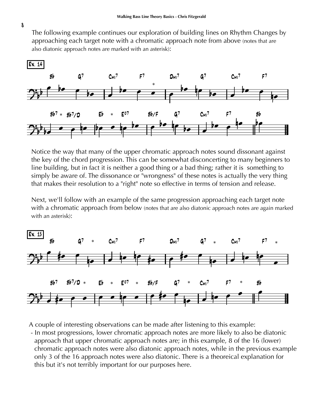The following example continues our exploration of building lines on Rhythm Changes by approaching each target note with a chromatic approach note from above (notes that are also diatonic approach notes are marked with an asterisk):



Notice the way that many of the upper chromatic approach notes sound dissonant against the key of the chord progression. This can be somewhat disconcerting to many beginners to line building, but in fact it is neither a good thing or a bad thing; rather it is something to simply be aware of. The dissonance or "wrongness" of these notes is actually the very thing that makes their resolution to a "right" note so effective in terms of tension and release.

Next, we'll follow with an example of the same progression approaching each target note with a chromatic approach from below (notes that are also diatonic approach notes are again marked with an asterisk):



A couple of interesting observations can be made after listening to this example:

 - In most progressions, lower chromatic approach notes are more likely to also be diatonic approach that upper chromatic approach notes are; in this example, 8 of the 16 (lower) chromatic approach notes were also diatonic approach notes, while in the previous example only 3 of the 16 approach notes were also diatonic. There is a theoreical explanation for this but it's not terribly important for our purposes here.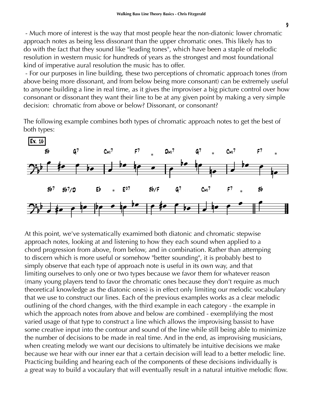- Much more of interest is the way that most people hear the non-diatonic lower chromatic approach notes as being less dissonant than the upper chromatic ones. This likely has to do with the fact that they sound like "leading tones", which have been a staple of melodic resolution in western music for hundreds of years as the strongest and most foundational kind of imperative aural resolution the music has to offer.

 - For our purposes in line building, these two perceptions of chromatic approach tones (from above being more dissonant, and from below being more consonant) can be extremely useful to anyone building a line in real time, as it gives the improviser a big picture control over how consonant or dissonant they want their line to be at any given point by making a very simple decision: chromatic from above or below? Dissonant, or consonant?

The following example combines both types of chromatic approach notes to get the best of both types:



At this point, we've systematically examimed both diatonic and chromatic stepwise approach notes, looking at and listening to how they each sound when applied to a chord progression from above, from below, and in combination. Rather than attemping to discern which is more useful or somehow "better sounding", it is probably best to simply observe that each type of approach note is useful in its own way, and that limiting ourselves to only one or two types because we favor them for whatever reason (many young players tend to favor the chromatic ones because they don't require as much theoretical knowledge as the diatonic ones) is in effect only limiting our melodic vocabulary that we use to construct our lines. Each of the previous examples works as a clear melodic outlining of the chord changes, with the third example in each category - the example in which the approach notes from above and below are combined - exemplifying the most varied usage of that type to construct a line which allows the improvising bassist to have some creative input into the contour and sound of the line while still being able to minimize the number of decisions to be made in real time. And in the end, as improvising musicians, when creating melody we want our decisions to ultimately be intuitive decisions we make because we hear with our inner ear that a certain decision will lead to a better melodic line. Practicing building and hearing each of the components of these decisions individually is a great way to build a vocaulary that will eventually result in a natural intuitive melodic flow.